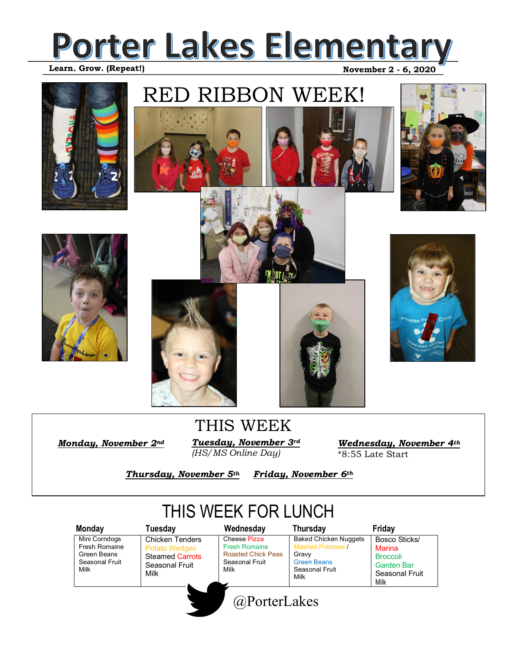#### **Porter Lakes Elementary**   **November 2 - 6, 2020 Learn. Grow. (Repeat!)**



## RED RIBBON WEEK!















*Monday, November 2nd* 

*Tuesday, November 3rd (HS/MS Online Day)* THIS WEEK

*Wednesday, November 4th*  \*8:55 Late Start

*Thursday, November 5th Friday, November 6th* 

### THIS WEEK FOR LUNCH

| Monday                                                                  | Tuesday                                                                                            | Wednesday                                                                                   | Thursday                                                                                                          | Friday                                                                             |
|-------------------------------------------------------------------------|----------------------------------------------------------------------------------------------------|---------------------------------------------------------------------------------------------|-------------------------------------------------------------------------------------------------------------------|------------------------------------------------------------------------------------|
| Mini Corndogs<br>Fresh Romaine<br>Green Beans<br>Seasonal Fruit<br>Milk | <b>Chicken Tenders</b><br><b>Potato Wedges</b><br><b>Steamed Carrots</b><br>Seasonal Fruit<br>Milk | Cheese Pizza<br><b>Fresh Romaine</b><br><b>Roasted Chick Peas</b><br>Seasonal Fruit<br>Milk | <b>Baked Chicken Nuggets</b><br><b>Mashed Potatoes /</b><br>Gravv<br><b>Green Beans</b><br>Seasonal Fruit<br>Milk | Bosco Sticks/<br>Marina<br><b>Broccoli</b><br>Garden Bar<br>Seasonal Fruit<br>Milk |
|                                                                         |                                                                                                    | @PorterLakes                                                                                |                                                                                                                   |                                                                                    |